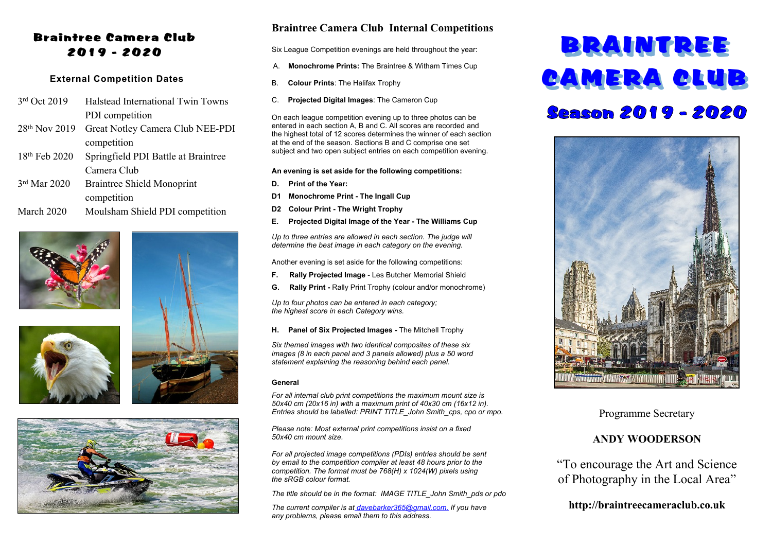#### Braintree Camera Club 2019 - 2020

#### **External Competition Dates**

- 3rd Oct 2019 Halstead International Twin Towns PDI competition
- 28th Nov 2019 Great Notley Camera Club NEE-PDI competition
- 18th Feb 2020 Springfield PDI Battle at Braintree Camera Club
- 3rd Mar 2020 Braintree Shield Monoprint competition
- March 2020 Moulsham Shield PDI competition







#### **Braintree Camera Club Internal Competitions**

Six League Competition evenings are held throughout the year:

- A. **Monochrome Prints:** The Braintree & Witham Times Cup
- B. **Colour Prints**: The Halifax Trophy
- C. **Projected Digital Images**: The Cameron Cup

On each league competition evening up to three photos can be entered in each section A, B and C. All scores are recorded and the highest total of 12 scores determines the winner of each section at the end of the season. Sections B and C comprise one set subject and two open subject entries on each competition evening.

#### **An evening is set aside for the following competitions:**

- **D. Print of the Year:**
- **D1 Monochrome Print The Ingall Cup**
- **D2 Colour Print The Wright Trophy**
- **E. Projected Digital Image of the Year The Williams Cup**

*Up to three entries are allowed in each section. The judge will determine the best image in each category on the evening.*

Another evening is set aside for the following competitions:

- **F. Rally Projected Image** Les Butcher Memorial Shield
- **G. Rally Print -** Rally Print Trophy (colour and/or monochrome)

*Up to four photos can be entered in each category; the highest score in each Category wins.*

**H. Panel of Six Projected Images -** The Mitchell Trophy

*Six themed images with two identical composites of these six images (8 in each panel and 3 panels allowed) plus a 50 word statement explaining the reasoning behind each panel.*

#### **General**

*For all internal club print competitions the maximum mount size is 50x40 cm (20x16 in) with a maximum print of 40x30 cm (16x12 in). Entries should be labelled: PRINT TITLE\_John Smith\_cps, cpo or mpo.*

*Please note: Most external print competitions insist on a fixed 50x40 cm mount size.*

*For all projected image competitions (PDIs) entries should be sent by email to the competition compiler at least 48 hours prior to the competition. The format must be 768(H) x 1024(W) pixels using the sRGB colour format.*

*The title should be in the format: IMAGE TITLE\_John Smith\_pds or pdo*

*The current compiler is at [davebarker365@gmail.com.](mailto:davebarker365@gmail.com.) If you have any problems, please email them to this address.*

# BRAINTREE CAMERA CLUB Season 2019 - 2020



Programme Secretary

#### **ANDY WOODERSON**

"To encourage the Art and Science of Photography in the Local Area"

**http://braintreecameraclub.co.uk**